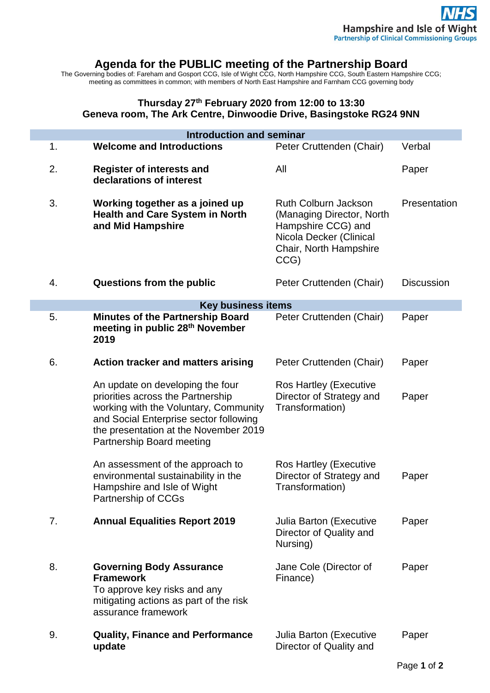## **Agenda for the PUBLIC meeting of the Partnership Board**

The Governing bodies of: Fareham and Gosport CCG, Isle of Wight CCG, North Hampshire CCG, South Eastern Hampshire CCG; meeting as committees in common; with members of North East Hampshire and Farnham CCG governing body

## **Thursday 27th February 2020 from 12:00 to 13:30 Geneva room, The Ark Centre, Dinwoodie Drive, Basingstoke RG24 9NN**

i.

p.

| <b>Introduction and seminar</b> |                                                                                                                                                                                                                                |                                                                                                                                             |                   |
|---------------------------------|--------------------------------------------------------------------------------------------------------------------------------------------------------------------------------------------------------------------------------|---------------------------------------------------------------------------------------------------------------------------------------------|-------------------|
| 1.                              | <b>Welcome and Introductions</b>                                                                                                                                                                                               | Peter Cruttenden (Chair)                                                                                                                    | Verbal            |
| 2.                              | <b>Register of interests and</b><br>declarations of interest                                                                                                                                                                   | All                                                                                                                                         | Paper             |
| 3.                              | Working together as a joined up<br><b>Health and Care System in North</b><br>and Mid Hampshire                                                                                                                                 | <b>Ruth Colburn Jackson</b><br>(Managing Director, North<br>Hampshire CCG) and<br>Nicola Decker (Clinical<br>Chair, North Hampshire<br>CCG) | Presentation      |
| 4.                              | Questions from the public                                                                                                                                                                                                      | Peter Cruttenden (Chair)                                                                                                                    | <b>Discussion</b> |
| <b>Key business items</b>       |                                                                                                                                                                                                                                |                                                                                                                                             |                   |
| 5.                              | <b>Minutes of the Partnership Board</b><br>meeting in public 28 <sup>th</sup> November<br>2019                                                                                                                                 | Peter Cruttenden (Chair)                                                                                                                    | Paper             |
| 6.                              | Action tracker and matters arising                                                                                                                                                                                             | Peter Cruttenden (Chair)                                                                                                                    | Paper             |
|                                 | An update on developing the four<br>priorities across the Partnership<br>working with the Voluntary, Community<br>and Social Enterprise sector following<br>the presentation at the November 2019<br>Partnership Board meeting | Ros Hartley (Executive<br>Director of Strategy and<br>Transformation)                                                                       | Paper             |
|                                 | An assessment of the approach to<br>environmental sustainability in the<br>Hampshire and Isle of Wight<br>Partnership of CCGs                                                                                                  | <b>Ros Hartley (Executive</b><br>Director of Strategy and<br>Transformation)                                                                | Paper             |
| 7.                              | <b>Annual Equalities Report 2019</b>                                                                                                                                                                                           | Julia Barton (Executive<br>Director of Quality and<br>Nursing)                                                                              | Paper             |
| 8.                              | <b>Governing Body Assurance</b><br><b>Framework</b><br>To approve key risks and any<br>mitigating actions as part of the risk<br>assurance framework                                                                           | Jane Cole (Director of<br>Finance)                                                                                                          | Paper             |
| 9.                              | <b>Quality, Finance and Performance</b><br>update                                                                                                                                                                              | <b>Julia Barton (Executive</b><br>Director of Quality and                                                                                   | Paper             |